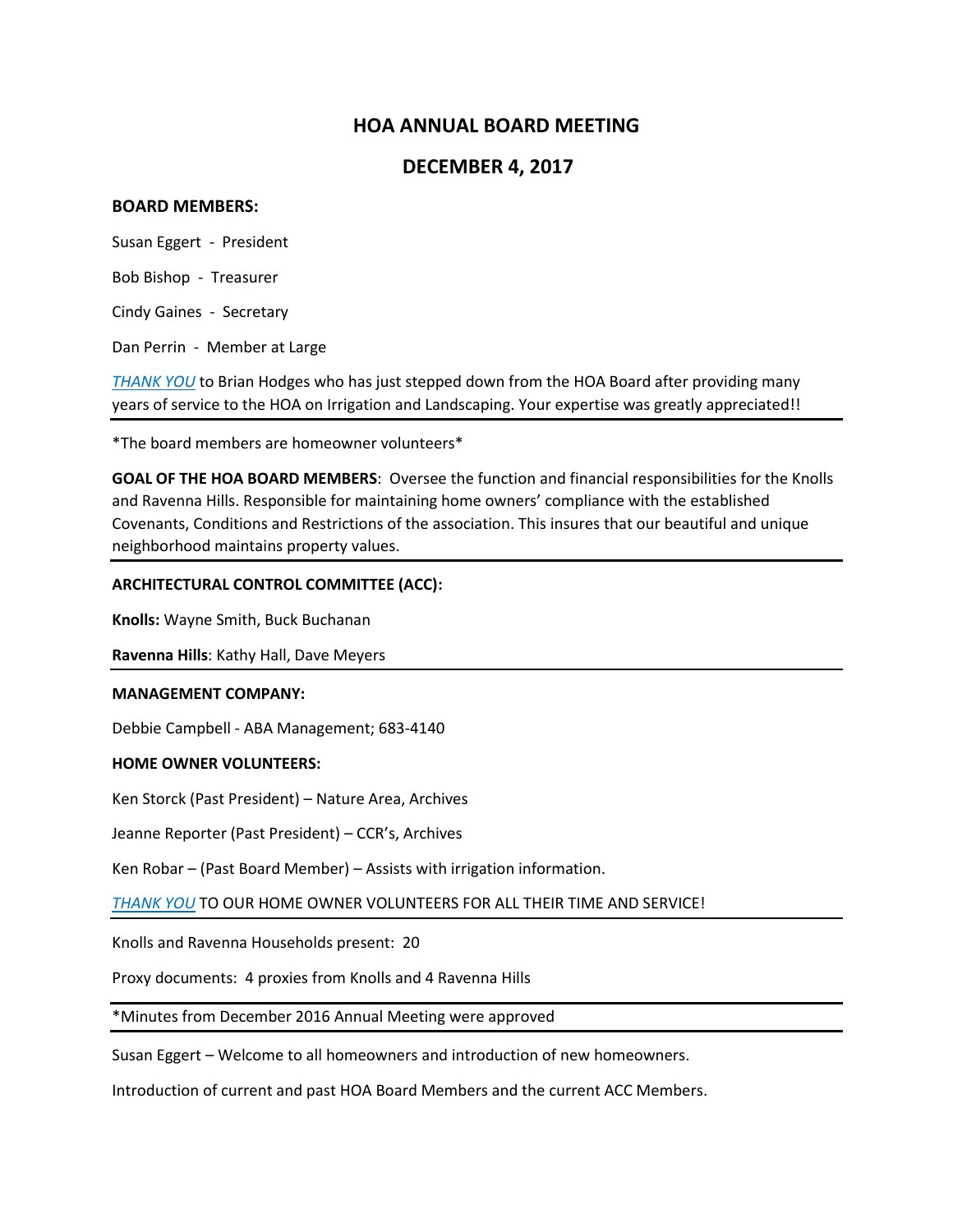# **HOA ANNUAL BOARD MEETING**

## **DECEMBER 4, 2017**

## **BOARD MEMBERS:**

Susan Eggert - President

Bob Bishop - Treasurer

Cindy Gaines - Secretary

Dan Perrin - Member at Large

*THANK YOU* to Brian Hodges who has just stepped down from the HOA Board after providing many years of service to the HOA on Irrigation and Landscaping. Your expertise was greatly appreciated!!

\*The board members are homeowner volunteers\*

**GOAL OF THE HOA BOARD MEMBERS**: Oversee the function and financial responsibilities for the Knolls and Ravenna Hills. Responsible for maintaining home owners' compliance with the established Covenants, Conditions and Restrictions of the association. This insures that our beautiful and unique neighborhood maintains property values.

## **ARCHITECTURAL CONTROL COMMITTEE (ACC):**

**Knolls:** Wayne Smith, Buck Buchanan

**Ravenna Hills**: Kathy Hall, Dave Meyers

#### **MANAGEMENT COMPANY:**

Debbie Campbell - ABA Management; 683-4140

## **HOME OWNER VOLUNTEERS:**

Ken Storck (Past President) – Nature Area, Archives

Jeanne Reporter (Past President) – CCR's, Archives

Ken Robar – (Past Board Member) – Assists with irrigation information.

*THANK YOU* TO OUR HOME OWNER VOLUNTEERS FOR ALL THEIR TIME AND SERVICE!

Knolls and Ravenna Households present: 20

Proxy documents: 4 proxies from Knolls and 4 Ravenna Hills

\*Minutes from December 2016 Annual Meeting were approved

Susan Eggert – Welcome to all homeowners and introduction of new homeowners.

Introduction of current and past HOA Board Members and the current ACC Members.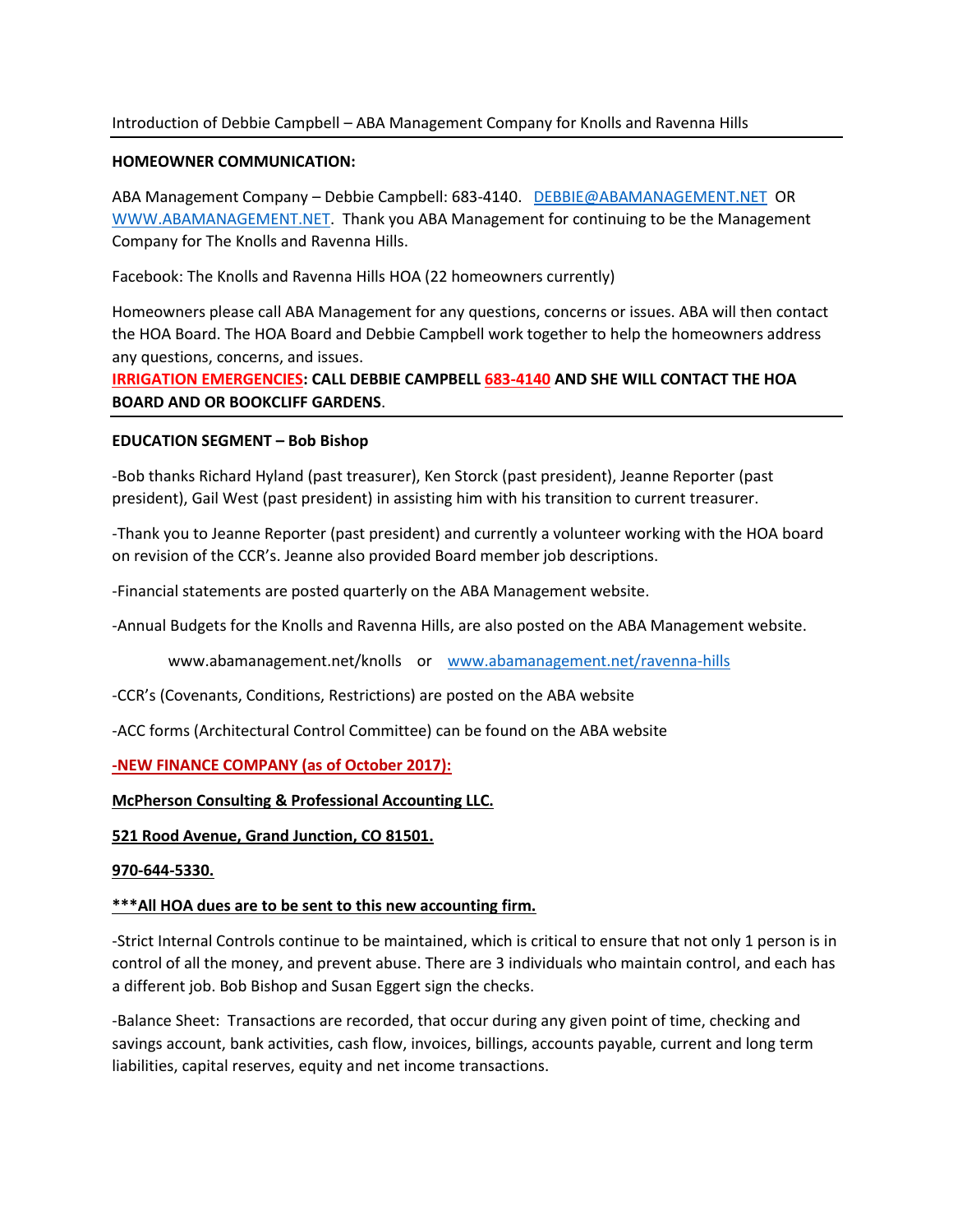## Introduction of Debbie Campbell – ABA Management Company for Knolls and Ravenna Hills

## **HOMEOWNER COMMUNICATION:**

ABA Management Company – Debbie Campbell: 683-4140. [DEBBIE@ABAMANAGEMENT.NET](mailto:DEBBIE@ABAMANAGEMENT.NET) OR [WWW.ABAMANAGEMENT.NET.](http://www.abamanagement.net/) Thank you ABA Management for continuing to be the Management Company for The Knolls and Ravenna Hills.

Facebook: The Knolls and Ravenna Hills HOA (22 homeowners currently)

Homeowners please call ABA Management for any questions, concerns or issues. ABA will then contact the HOA Board. The HOA Board and Debbie Campbell work together to help the homeowners address any questions, concerns, and issues.

**IRRIGATION EMERGENCIES: CALL DEBBIE CAMPBELL 683-4140 AND SHE WILL CONTACT THE HOA BOARD AND OR BOOKCLIFF GARDENS**.

## **EDUCATION SEGMENT – Bob Bishop**

-Bob thanks Richard Hyland (past treasurer), Ken Storck (past president), Jeanne Reporter (past president), Gail West (past president) in assisting him with his transition to current treasurer.

-Thank you to Jeanne Reporter (past president) and currently a volunteer working with the HOA board on revision of the CCR's. Jeanne also provided Board member job descriptions.

-Financial statements are posted quarterly on the ABA Management website.

-Annual Budgets for the Knolls and Ravenna Hills, are also posted on the ABA Management website.

www.abamanagement.net/knolls or [www.abamanagement.net/ravenna-](http://www.abamanagement.net/ravenna)hills

-CCR's (Covenants, Conditions, Restrictions) are posted on the ABA website

-ACC forms (Architectural Control Committee) can be found on the ABA website

## **-NEW FINANCE COMPANY (as of October 2017):**

#### **McPherson Consulting & Professional Accounting LLC.**

**521 Rood Avenue, Grand Junction, CO 81501.** 

#### **970-644-5330.**

## **\*\*\*All HOA dues are to be sent to this new accounting firm.**

-Strict Internal Controls continue to be maintained, which is critical to ensure that not only 1 person is in control of all the money, and prevent abuse. There are 3 individuals who maintain control, and each has a different job. Bob Bishop and Susan Eggert sign the checks.

-Balance Sheet: Transactions are recorded, that occur during any given point of time, checking and savings account, bank activities, cash flow, invoices, billings, accounts payable, current and long term liabilities, capital reserves, equity and net income transactions.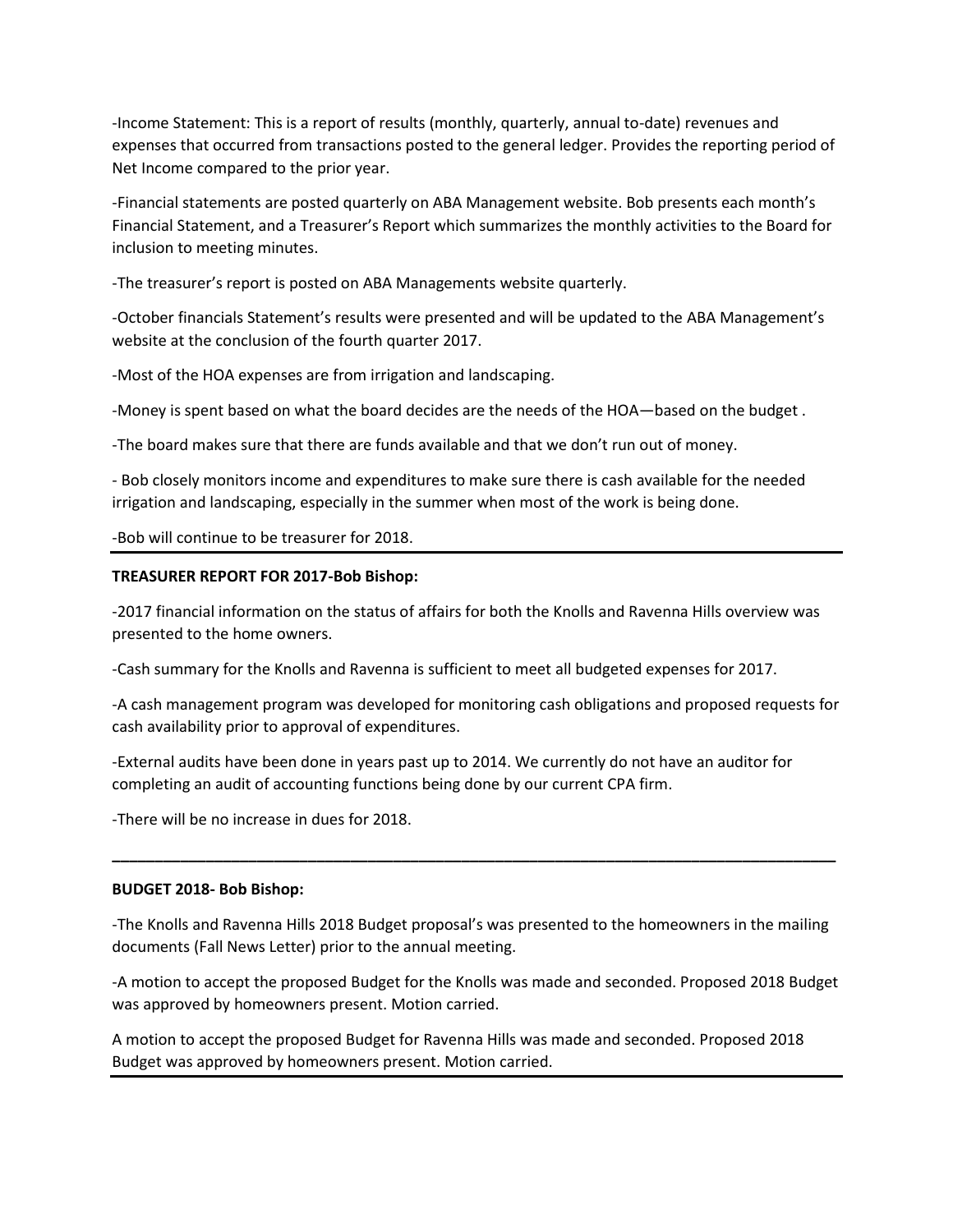-Income Statement: This is a report of results (monthly, quarterly, annual to-date) revenues and expenses that occurred from transactions posted to the general ledger. Provides the reporting period of Net Income compared to the prior year.

-Financial statements are posted quarterly on ABA Management website. Bob presents each month's Financial Statement, and a Treasurer's Report which summarizes the monthly activities to the Board for inclusion to meeting minutes.

-The treasurer's report is posted on ABA Managements website quarterly.

-October financials Statement's results were presented and will be updated to the ABA Management's website at the conclusion of the fourth quarter 2017.

-Most of the HOA expenses are from irrigation and landscaping.

-Money is spent based on what the board decides are the needs of the HOA—based on the budget .

-The board makes sure that there are funds available and that we don't run out of money.

- Bob closely monitors income and expenditures to make sure there is cash available for the needed irrigation and landscaping, especially in the summer when most of the work is being done.

-Bob will continue to be treasurer for 2018.

#### **TREASURER REPORT FOR 2017-Bob Bishop:**

-2017 financial information on the status of affairs for both the Knolls and Ravenna Hills overview was presented to the home owners.

-Cash summary for the Knolls and Ravenna is sufficient to meet all budgeted expenses for 2017.

-A cash management program was developed for monitoring cash obligations and proposed requests for cash availability prior to approval of expenditures.

-External audits have been done in years past up to 2014. We currently do not have an auditor for completing an audit of accounting functions being done by our current CPA firm.

-There will be no increase in dues for 2018.

#### **BUDGET 2018- Bob Bishop:**

-The Knolls and Ravenna Hills 2018 Budget proposal's was presented to the homeowners in the mailing documents (Fall News Letter) prior to the annual meeting.

**\_\_\_\_\_\_\_\_\_\_\_\_\_\_\_\_\_\_\_\_\_\_\_\_\_\_\_\_\_\_\_\_\_\_\_\_\_\_\_\_\_\_\_\_\_\_\_\_\_\_\_\_\_\_\_\_\_\_\_\_\_\_\_\_\_\_\_\_\_\_\_\_\_\_\_\_\_\_\_\_\_\_\_\_\_**

-A motion to accept the proposed Budget for the Knolls was made and seconded. Proposed 2018 Budget was approved by homeowners present. Motion carried.

A motion to accept the proposed Budget for Ravenna Hills was made and seconded. Proposed 2018 Budget was approved by homeowners present. Motion carried.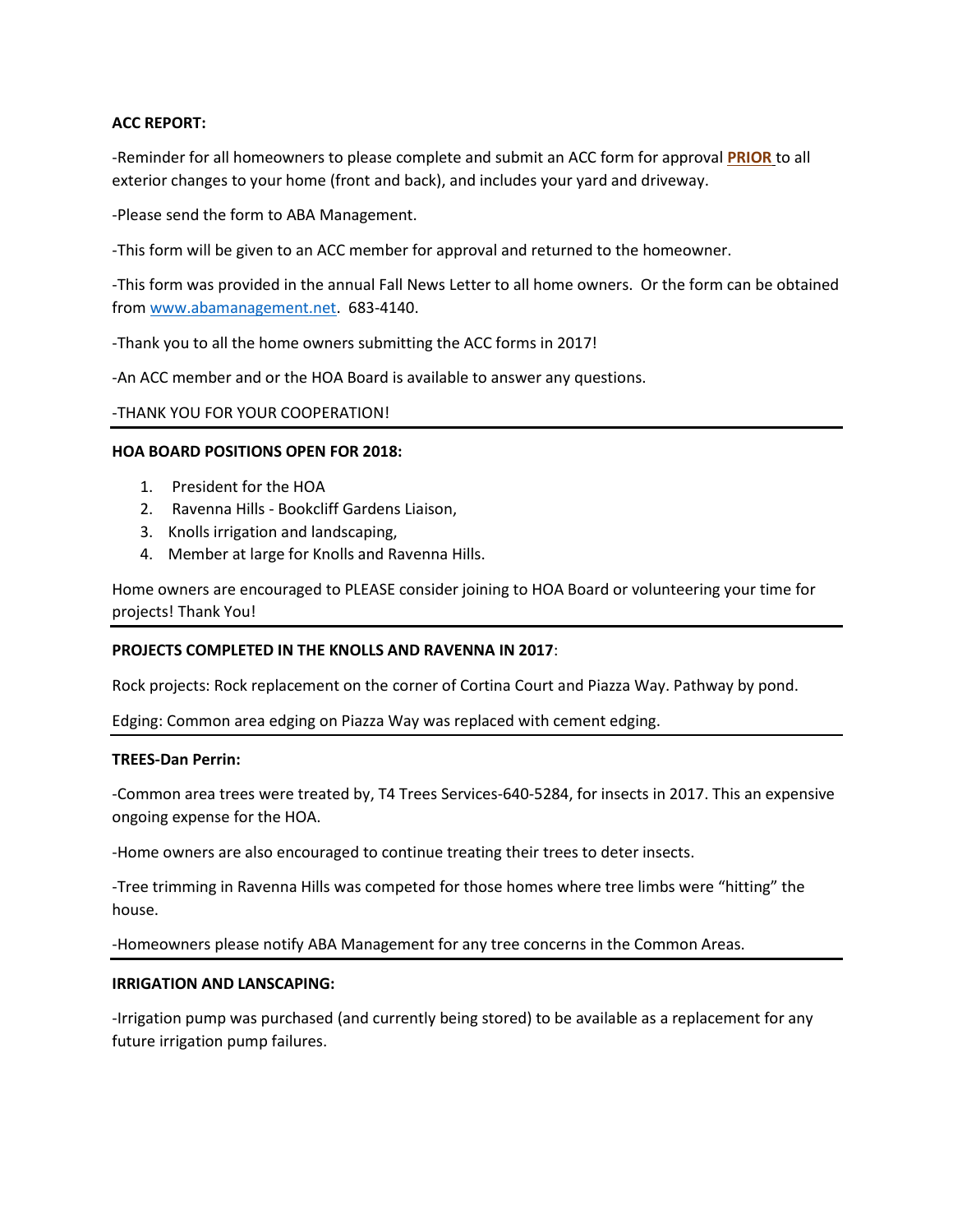## **ACC REPORT:**

-Reminder for all homeowners to please complete and submit an ACC form for approval **PRIOR** to all exterior changes to your home (front and back), and includes your yard and driveway.

-Please send the form to ABA Management.

-This form will be given to an ACC member for approval and returned to the homeowner.

-This form was provided in the annual Fall News Letter to all home owners. Or the form can be obtained from [www.abamanagement.net.](http://www.abamanagement.net/) 683-4140.

-Thank you to all the home owners submitting the ACC forms in 2017!

-An ACC member and or the HOA Board is available to answer any questions.

## -THANK YOU FOR YOUR COOPERATION!

#### **HOA BOARD POSITIONS OPEN FOR 2018:**

- 1. President for the HOA
- 2. Ravenna Hills Bookcliff Gardens Liaison,
- 3. Knolls irrigation and landscaping,
- 4. Member at large for Knolls and Ravenna Hills.

Home owners are encouraged to PLEASE consider joining to HOA Board or volunteering your time for projects! Thank You!

## **PROJECTS COMPLETED IN THE KNOLLS AND RAVENNA IN 2017**:

Rock projects: Rock replacement on the corner of Cortina Court and Piazza Way. Pathway by pond.

Edging: Common area edging on Piazza Way was replaced with cement edging.

#### **TREES-Dan Perrin:**

-Common area trees were treated by, T4 Trees Services-640-5284, for insects in 2017. This an expensive ongoing expense for the HOA.

-Home owners are also encouraged to continue treating their trees to deter insects.

-Tree trimming in Ravenna Hills was competed for those homes where tree limbs were "hitting" the house.

-Homeowners please notify ABA Management for any tree concerns in the Common Areas.

## **IRRIGATION AND LANSCAPING:**

-Irrigation pump was purchased (and currently being stored) to be available as a replacement for any future irrigation pump failures.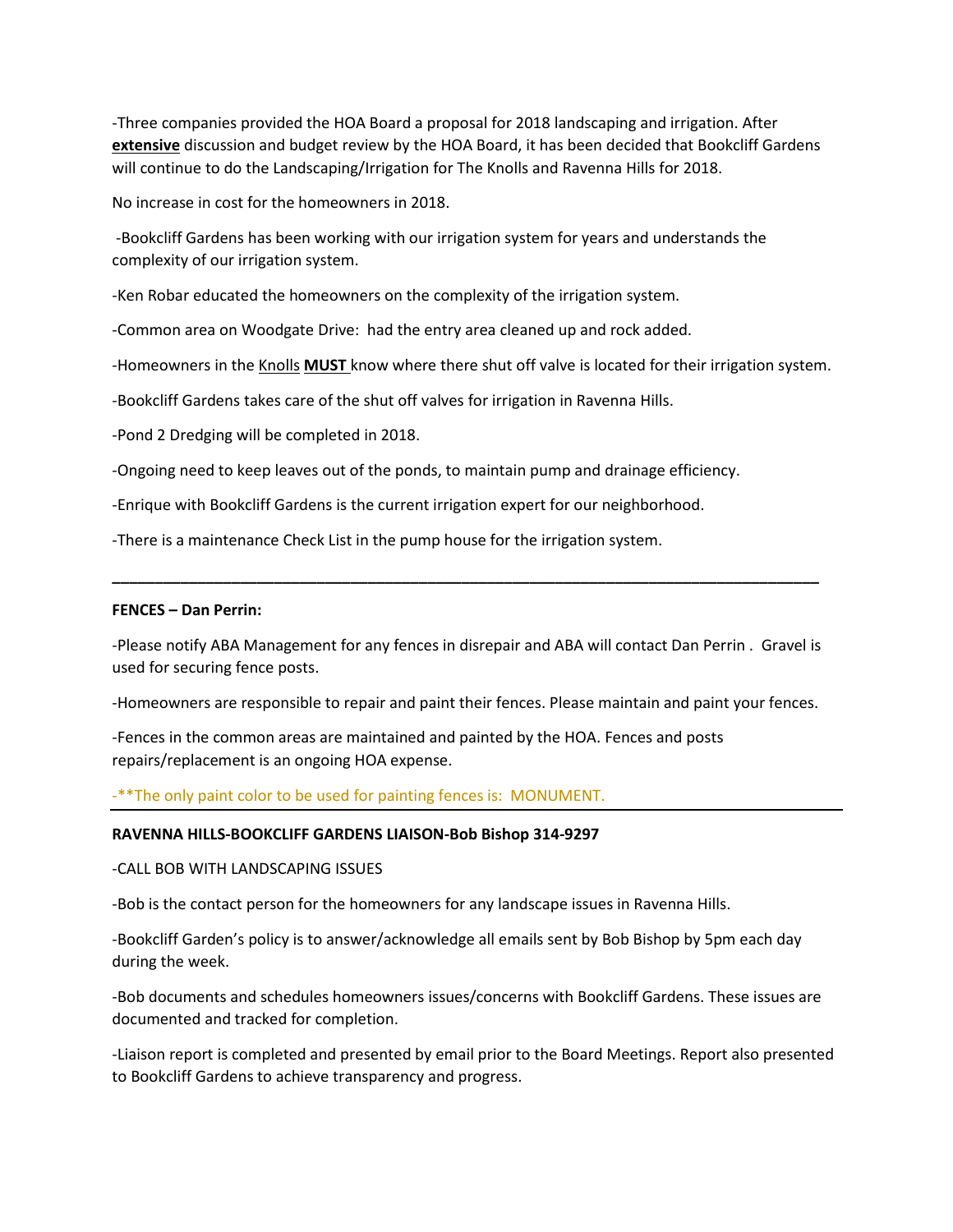-Three companies provided the HOA Board a proposal for 2018 landscaping and irrigation. After **extensive** discussion and budget review by the HOA Board, it has been decided that Bookcliff Gardens will continue to do the Landscaping/Irrigation for The Knolls and Ravenna Hills for 2018.

No increase in cost for the homeowners in 2018.

-Bookcliff Gardens has been working with our irrigation system for years and understands the complexity of our irrigation system.

-Ken Robar educated the homeowners on the complexity of the irrigation system.

-Common area on Woodgate Drive: had the entry area cleaned up and rock added.

-Homeowners in the Knolls **MUST** know where there shut off valve is located for their irrigation system.

-Bookcliff Gardens takes care of the shut off valves for irrigation in Ravenna Hills.

-Pond 2 Dredging will be completed in 2018.

-Ongoing need to keep leaves out of the ponds, to maintain pump and drainage efficiency.

-Enrique with Bookcliff Gardens is the current irrigation expert for our neighborhood.

-There is a maintenance Check List in the pump house for the irrigation system.

#### **FENCES – Dan Perrin:**

-Please notify ABA Management for any fences in disrepair and ABA will contact Dan Perrin . Gravel is used for securing fence posts.

**\_\_\_\_\_\_\_\_\_\_\_\_\_\_\_\_\_\_\_\_\_\_\_\_\_\_\_\_\_\_\_\_\_\_\_\_\_\_\_\_\_\_\_\_\_\_\_\_\_\_\_\_\_\_\_\_\_\_\_\_\_\_\_\_\_\_\_\_\_\_\_\_\_\_\_\_\_\_\_\_\_\_\_**

-Homeowners are responsible to repair and paint their fences. Please maintain and paint your fences.

-Fences in the common areas are maintained and painted by the HOA. Fences and posts repairs/replacement is an ongoing HOA expense.

-\*\*The only paint color to be used for painting fences is: MONUMENT.

#### **RAVENNA HILLS-BOOKCLIFF GARDENS LIAISON-Bob Bishop 314-9297**

#### -CALL BOB WITH LANDSCAPING ISSUES

-Bob is the contact person for the homeowners for any landscape issues in Ravenna Hills.

-Bookcliff Garden's policy is to answer/acknowledge all emails sent by Bob Bishop by 5pm each day during the week.

-Bob documents and schedules homeowners issues/concerns with Bookcliff Gardens. These issues are documented and tracked for completion.

-Liaison report is completed and presented by email prior to the Board Meetings. Report also presented to Bookcliff Gardens to achieve transparency and progress.